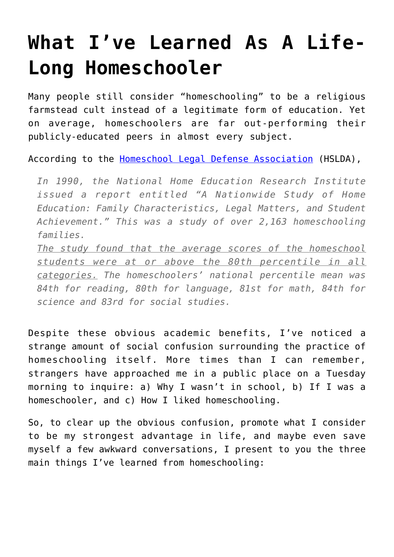## **[What I've Learned As A Life-](https://intellectualtakeout.org/2019/01/what-ive-learned-as-a-life-long-homeschooler/)[Long Homeschooler](https://intellectualtakeout.org/2019/01/what-ive-learned-as-a-life-long-homeschooler/)**

Many people still consider "homeschooling" to be a religious farmstead cult instead of a legitimate form of education. Yet on average, homeschoolers are far out-performing their publicly-educated peers in almost every subject.

According to the [Homeschool Legal Defense Association](https://hslda.org/content/docs/nche/000010/200410250.asp) (HSLDA),

*In 1990, the National Home Education Research Institute issued a report entitled "A Nationwide Study of Home Education: Family Characteristics, Legal Matters, and Student Achievement." This was a study of over 2,163 homeschooling families.*

*The study found that the average scores of the homeschool students were at or above the 80th percentile in all categories. The homeschoolers' national percentile mean was 84th for reading, 80th for language, 81st for math, 84th for science and 83rd for social studies.*

Despite these obvious academic benefits, I've noticed a strange amount of social confusion surrounding the practice of homeschooling itself. More times than I can remember, strangers have approached me in a public place on a Tuesday morning to inquire: a) Why I wasn't in school, b) If I was a homeschooler, and c) How I liked homeschooling.

So, to clear up the obvious confusion, promote what I consider to be my strongest advantage in life, and maybe even save myself a few awkward conversations, I present to you the three main things I've learned from homeschooling: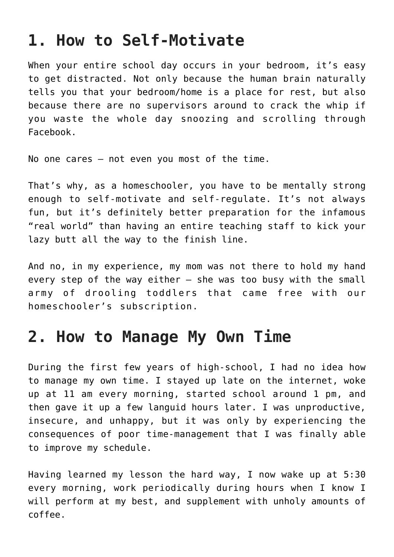## **1. How to Self-Motivate**

When your entire school day occurs in your bedroom, it's easy to get distracted. Not only because the human brain naturally tells you that your bedroom/home is a place for rest, but also because there are no supervisors around to crack the whip if you waste the whole day snoozing and scrolling through Facebook.

No one cares – not even you most of the time.

That's why, as a homeschooler, you have to be mentally strong enough to self-motivate and self-regulate. It's not always fun, but it's definitely better preparation for the infamous "real world" than having an entire teaching staff to kick your lazy butt all the way to the finish line.

And no, in my experience, my mom was not there to hold my hand every step of the way either – she was too busy with the small army of drooling toddlers that came free with our homeschooler's subscription.

## **2. How to Manage My Own Time**

During the first few years of high-school, I had no idea how to manage my own time. I stayed up late on the internet, woke up at 11 am every morning, started school around 1 pm, and then gave it up a few languid hours later. I was unproductive, insecure, and unhappy, but it was only by experiencing the consequences of poor time-management that I was finally able to improve my schedule.

Having learned my lesson the hard way, I now wake up at 5:30 every morning, work periodically during hours when I know I will perform at my best, and supplement with unholy amounts of coffee.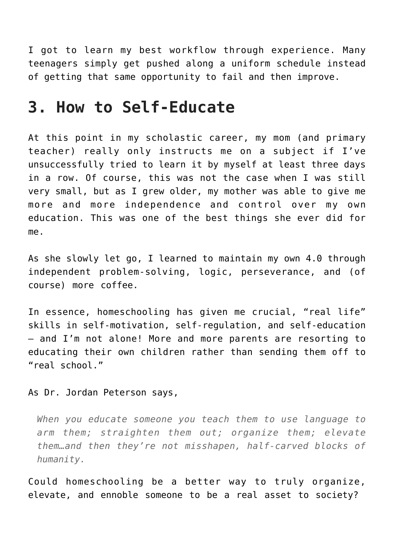I got to learn my best workflow through experience. Many teenagers simply get pushed along a uniform schedule instead of getting that same opportunity to fail and then improve.

## **3. How to Self-Educate**

At this point in my scholastic career, my mom (and primary teacher) really only instructs me on a subject if I've unsuccessfully tried to learn it by myself at least three days in a row. Of course, this was not the case when I was still very small, but as I grew older, my mother was able to give me more and more independence and control over my own education. This was one of the best things she ever did for me.

As she slowly let go, I learned to maintain my own 4.0 through independent problem-solving, logic, perseverance, and (of course) more coffee.

In essence, homeschooling has given me crucial, "real life" skills in self-motivation, self-regulation, and self-education – and I'm not alone! More and more parents are resorting to educating their own children rather than sending them off to "real school."

As Dr. Jordan Peterson says,

*When you educate someone you teach them to use language to arm them; straighten them out; organize them; elevate them…and then they're not misshapen, half-carved blocks of humanity.*

Could homeschooling be a better way to truly organize, elevate, and ennoble someone to be a real asset to society?